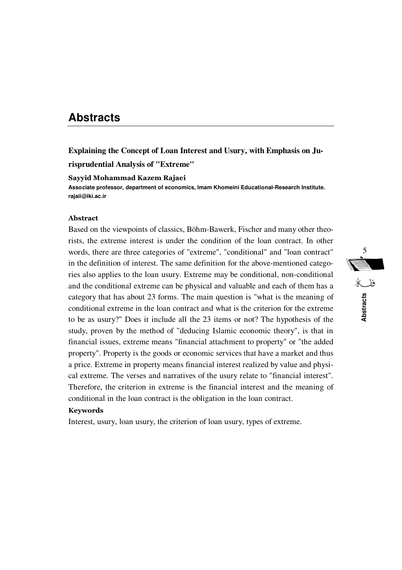# **Abstracts**

**Explaining the Concept of Loan Interest and Usury, with Emphasis on Ju-**

**risprudential Analysis of "Extreme"** 

### **Sayyid Mohammad Kazem Rajaei**

**Associate professor, department of economics, Imam Khomeini Educational-Research Institute. rajaii@iki.ac.ir** 

### **Abstract**

Based on the viewpoints of classics, Böhm-Bawerk, Fischer and many other theorists, the extreme interest is under the condition of the loan contract. In other words, there are three categories of "extreme", "conditional" and "loan contract" in the definition of interest. The same definition for the above-mentioned categories also applies to the loan usury. Extreme may be conditional, non-conditional and the conditional extreme can be physical and valuable and each of them has a category that has about 23 forms. The main question is "what is the meaning of conditional extreme in the loan contract and what is the criterion for the extreme to be as usury?" Does it include all the 23 items or not? The hypothesis of the study, proven by the method of "deducing Islamic economic theory", is that in financial issues, extreme means "financial attachment to property" or "the added property". Property is the goods or economic services that have a market and thus a price. Extreme in property means financial interest realized by value and physical extreme. The verses and narratives of the usury relate to "financial interest". Therefore, the criterion in extreme is the financial interest and the meaning of conditional in the loan contract is the obligation in the loan contract.

### **Keywords**

Interest, usury, loan usury, the criterion of loan usury, types of extreme.

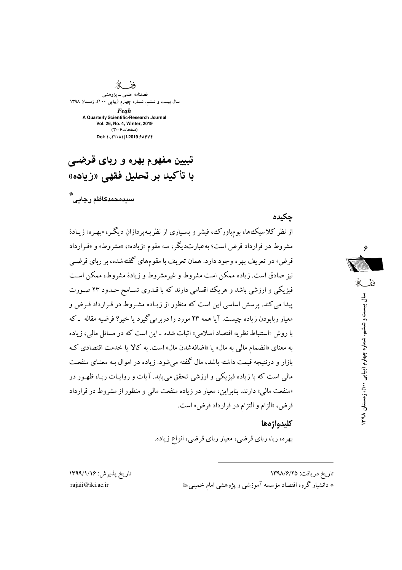دة

فصلنامه علمي ــ پژوهشي سال بیست و ششم، شماره چهارم (پیاپی ۱۳۹۰)، زمستان ۱۳۹۸ Feah A Quarterly Scientific-Research Journal Vol. 26, No. 4, Winter, 2019 (صفحات ۳۰-۴) Doi: ۱۰/۲۲۰۸۱ jf.2019 ۶۸۴۷۴

# تبیین مفهوم بهره و ربای قرضے ، با تأكيك بر تحليل فقهي «زياده»

،<br>س**ی**دمحمدکاظم رجابے

حكىدە از نظر کلاسیک۵ما، بومهاورک، فیشر و بسـیاری از نظریـهیردازان دیگـر، «بهـره» زیـادهٔ مشروط در قرارداد قرض است؛ به عبارتدیگر، سه مقوم «زیاده»، «مشروط» و «قـرارداد قرض» در تعریف بهره وجود دارد. همان تعریف با مقومهای گفتهشده، بر ربای قرضبی نیز صادق است. زیاده ممکن است مشروط و غیرمشروط و زیادهٔ مشروط، ممکن است فیزیکی و ارزشی باشد و هریک اقسامی دارند که با قـدری تسـامح حـدود ۲۳ صـورت پیدا می کند. پرسش اساسی این است که منظور از زیـاده مشـروط در قـرارداد قـرض و معیار ربابودن زیاده چیست. آیا همه ۲۳ مورد را دربرمی گیرد یا خیر؟ فرضیه مقاله \_که با روش «استنباط نظریه اقتصاد اسلامی» اثبات شده ـ این است که در مسائل مالی، زیاده به معنای «انضمام مالی به مال» یا «اضافهشدن مال» است. به کالا یا خدمت اقتصادی ک بازار و درنتیجه قیمت داشته باشد، مال گفته می شود. زیاده در اموال بـه معنـای منفعـت مالی است که با زیاده فیزیکی و ارزشی تحقق می یابد. آیات و روایـات ربـا، ظهـور در «منفعت مالی» دارند. بنابراین، معیار در زیاده منفعت مالی و منظور از مشروط در قرارداد قرض، «الزام و التزام در قرارداد قرض» است.

# ففك سال ییست و ششم، شماره چهارم (پیاپی ۱٬۱۰۰)، زمستان ۹۸

### كليدواژهها

بهره، ربا، ربای قرضی، معیار ربای قرضی، انواع زیاده.

تاريخ پذيرش: ۱۳۹۹/۱/۱۶ rajaji@iki.ac.ir

تاريخ دريافت: ١٣٩٨/٦/١ \* دانشیار گروه اقتصاد مؤسسه آموزشی و پژوهشی امام خمینی ﷺ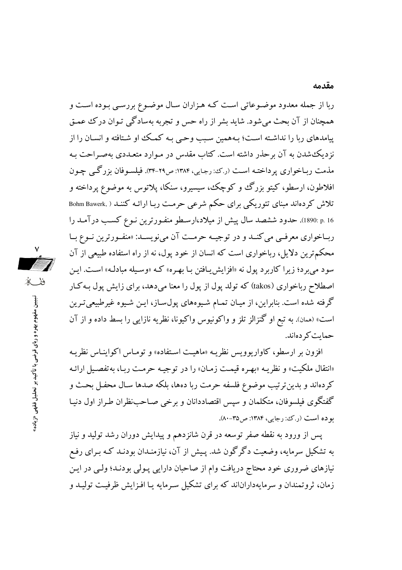ربا از جمله معدود موضـوعاتي اسـت كـه هـزاران سـال موضـوع بررسـي بـوده اسـت و همچنان از آن بحث میشود. شاید بشر از راه حس و تجربه بهسادگی تـوان درک عمـق پیامدهای ربا را نداشته است؛ بـههمین سـبب وحـی بـه کمـک او شـتافته و انسـان را از نزدیک شدن به آن برحذر داشته است. کتاب مقدس در مـوارد متعـددی بهصـراحت بـه مذمت ربـاخواري پرداختـه اسـت (رکن: رجـايي، ۱۳۸۴: ص٢٩-۳۴). فيلسـوفان بزرگـي چـون افلاطون، ارسطو، کیتو بزرگ و کوچک، سیسیرو، سنکا، پلاتوس به موضوع پرداخته و تلاش کردهاند مبنای تئوریکی برای حکم شرعی حرمت ربـا ارائـه کننـد ( ,Bohm Bawerk p. 16 .1890). حدود ششصد سال پیش از میلاد،ارسطو منفـورترین نـوع کسـب درآمـد را ربـاخواري معرفـي مي كنـد و در توجيــه حرمــت آن مي نويســد: «منفــورترين نــوع بــا محکمترین دلایل، رباخواری است که انسان از خود پول، نه از راه استفاده طبیعی از آن سود مي برد؛ زيرا كاربرد يول نه «افزايش پيافتن بيا بهره» كـه «وسيله مبادلـه» اسـت. ايـن اصطلاح ریاخواری (takos) که تولد یول از یول را معنا می دهد، برای زایش یول بـه کـار گرفته شده است. بنابراین، از میـان تمـام شـیوههای پول۳ساز، ایـن شـیوه غیرطبیعیترین است» (همان). به تبع او گنزالز تلز و واکونیوس واکیونا، نظریه نازایی را بسط داده و از آن حمایت کر دهاند.

افزون بر ارسطو، كاواريوويس نظريـه «ماهيـت اسـتفاده» و تومـاس اكواينـاس نظريـه «انتقال ملكيت» و نظريـه «بهـره قيمـت زمـان» را در توجيـه حرمـت ربـا، بهتفصـيل ارائـه كردهاند و بدين ترتيب موضوع فلسفه حرمت ربا دهها، بلكه صدها سـال محفـل بحـث و گفتگوی فیلسوفان، متکلمان و سپس اقتصاددانان و برخی صـاحب:ظران طـراز اول دنیـا بو ده است (ر.ک؛ رجایی، ۱۳۸۴: ص۳۵-۸۰).

پس از ورود به نقطه صفر توسعه در قرن شانزدهم و پیدایش دوران رشد تولید و نیاز به تشکیل سرمایه، وضعیت دگرگون شد. پـیش از آن، نیازمنـدان بودنـد کـه بـرای رفـع نیازهای ضروری خود محتاج دریافت وام از صاحبان دارایی پـولی بودنـد؛ ولـی در ایـن زمان، ثروتمندان و سرمایهداراناند که برای تشکیل سـرمایه یـا افـزایش ظرفیـت تولیـد و

تبیین مفهوم بهره و ربای قرضی با تأکید بر تحلیل فقهی «زیاده»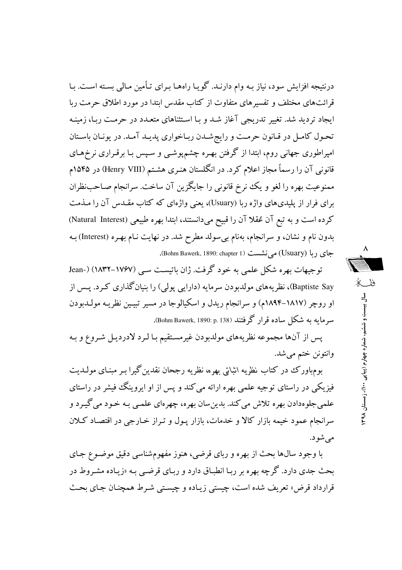درنتیجه افزایش سود، نیاز بـه وام دارنـد. گویـا راههـا بـرای تـأمین مـالی بسـته اسـت. بـا قرائتهای مختلف و تفسیرهای متفاوت از کتاب مقدس ابتدا در مورد اطلاق حرمت ربا ابجاد تردید شد. تغییر تدریجی آغاز شد و با استثناهای متعبدد در حرمت ربا، زمینیه تحول كامل در قانون حرمت و رايجشدن رباخواري پديـد آمـد. در يونـان باسـتان امپراطوری جهانی روم، ابتدا از گرفتن بهـره چشمپوشـی و سـپس بـا برقـراری نرخهـای قانونی آن را رسماً مجاز اعلام کرد. در انگلستان هنـری هشـتـم (Henry VIII) در ۱۵۴۵م ممنوعیت بهره را لغو و یک نرخ قانونی را جایگزین آن ساخت. سرانجام صـاحب:ظران برای فرار از پلیدیهای واژه ربا (Usuary)، یعنی واژهای که کتاب مقـدس آن را مـذمت كرده است و به تبع آن عُقلا آن را قبيح مي دانستند، ابتدا بهره طبيعي (Natural Interest) بدون نام و نشان، و سرانجام، بهنام بی سولد مطرح شد. در نهایت نـام بهـره (Interest) بـه جاي ربا (Usuary) مي نشست (Bohm Bawerk, 1890: chapter 1).

توجیهات بهره شکل علمی به خود گرفت. ژان باتیست سبی (۱۷۶۷–۱۸۳۲) (-Jean Baptiste Say)، نظریههای مولدبودن سرمایه (دارایی پولی) را بنیانگذاری کرد. پس از او روچر (۱۸۱۷–۱۸۹۴م) و سرانجام ریدل و اسکیالوجا در مسیر تبیین نظریـه مولـدبودن سرمایه به شکل ساده قرار گرفتند (Bohm Bawerk, 1890: p. 138).

يس از آنها مجموعه نظريههاي مولدبودن غيرمستقيم بـا لـرد لادرديـل شـروع و بـه وانتونن ختم مي شد.

بوم.باورک در کتاب نظریه اثباتی بهره، نظریه رجحان نقدین گیرا بـر مبنـای مولـدیت فیزیکی در راستای توجیه علمی بهره ارائه می کند و پس از او ایروینگ فیشر در راستای علمي جلوهدادن بهره تلاش مي كند. بدين سان بهره، چهرهاي علمـي بـه خـود مي گيـرد و سرانجام عمود خیمه بازار کالا و خدمات، بازار پـول و تـراز خـارجی در اقتصـاد کـلان مي شو د.

با وجود سالها بحث از بهره و رباي قرضي، هنوز مفهومشناسي دقيق موضـوع جـاي بحث جدی دارد. گرچه بهره بر ربـا انطبـاق دارد و ربـای قرضـی بـه «زیـاده مشـروط در قرارداد قرض» تعريف شده است، چيستې زيـاده و چيسـتې شـرط همچنـان جـاي بحـث

ففكه سال بیست و ششم، شماره چهار م (پیا پی ۱۰۰) ، زمستان ۹۸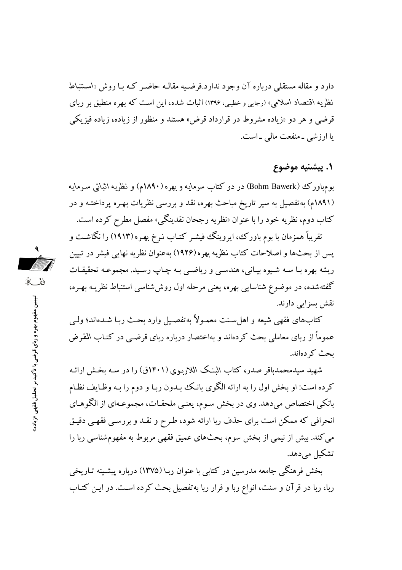دارد و مقاله مستقلَّی درباره آن وجود ندارد.فرضـیه مقالـه حاضـر کـه بـا روش «اسـتنباط نظریه اقتصاد اسلامی» (رجایی و خطیبی، ۱۳۹۶) اثبات شده، این است که بهره منطبق بر ربای قرضی و هر دو «زیاده مشروط در قرارداد قرض» هستند و منظور از زیاده، زیاده فیزیکی یا ارزشی ۔منفعت مالی ۔است.

### ١. پيشنيه موضوع

بومباورک (Bohm Bawerk) در دو کتاب سرمایه و بهره (۱۸۹۰م) و نظریه اثباتی سـرمایه (۱۸۹۱م) به تفصیل به سیر تاریخ مباحث بهره، نقد و بررسی نظریات بهـره پرداختـه و در کتاب دوم، نظریه خود را با عنوان «نظریه رجحان نقدینگی» مفصل مطرح کرده است.

تقریباً همزمان با بوم باورک، ایروینگ فیشـر کتـاب نـرخ بهـره (١٩١٣) را نگاشـت و پس از بحثها و اصلاحات کتاب نظریه بهره (۱۹۲۶) بهعنوان نظریه نهایی فیشر در تبیین ريشه بهره بـا سـه شـيوه بيـاني، هندسـي و رياضـي بـه چـاپ رسـيد. مجموعـه تحقيقـات گفتهشده، در موضوع شناسایی بهره، یعنی مرحله اول روششناسی استنباط نظریـه بهـره، نقش بسزایی دارند.

كتابهاي فقهي شيعه و اهل سـنت معمـولاً بهتفصـيل وارد بحـث ربـا شـدهاند؛ ولـي عموماً از ربای معاملی بحث کردهاند و بهاختصار درباره ربای قرضبی در کتـاب القـرض ىحث كىردەاند.

شهید سیدمحمدباقر صدر، کتاب البنک اللاربوی (۱۴۰۱ق) را در سـه بخـش ارائـه کرده است: او بخش اول را به ارائه الگوی بانک بدون ربـا و دوم را بـه وظـايف نظـام بانکی اختصاص میدهد. وی در بخش سوم، یعنبی ملحقـات، مجموعـهای از الگوهـای انحرافی که ممکن است برای حذف ربا ارائه شود، طـرح و نقـد و بررسـی فقهـی دقیـق می کند. بیش از نیمی از بخش سوم، بحثهای عمیق فقهی مربوط به مفهومشناسی ربا را تشکیل می دهد.

بخش فرهنگی جامعه مدرسین در کتابی با عنوان ربـا (۱۳۷۵) درباره پیشـینه تـاریخی ربا، ربا در قرآن و سنت، انواع ربا و فرار ربا بهتفصیل بحث کرده است. در ایـن کتـاب

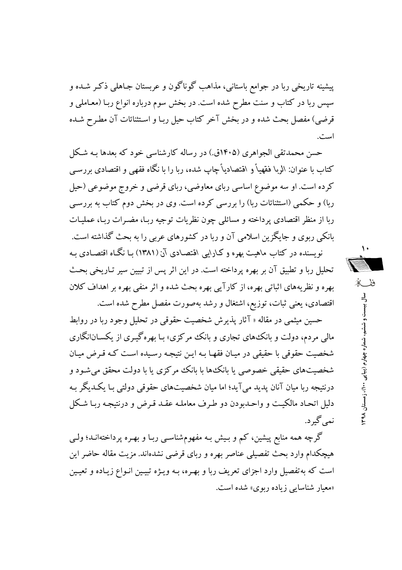پیشینه تاریخی ربا در جوامع باستانی، مذاهب گوناگون و عربستان جـاهلم ذکـر شـده و سپس ربا در کتاب و سنت مطرح شده است. در بخش سوم درباره انواع ربـا (معـاملي و قرضي) مفصل بحث شده و در بخش آخر كتاب حيل ربـا و اسـتثنائات آن مطـرح شـده است.

حسن محمدتقی الجواهری (۱۴۰۵ق.) در رساله کارشناسی خود که بعدها بـه شکل کتاب با عنوان: الربا فقهیاً و اقتصادیاً چاپ شده، ربا را با نگاه فقهی و اقتصادی بررســی کرده است. او سه موضوع اساسی ربای معاوضی، ربای قرضی و خروج موضوعی (حیل ربا) و حکمی (استثنائات ربا) را بررسی کرده است. وی در بخش دوم کتاب به بررسی ربا از منظر اقتصادی پر داخته و مسائلی چون نظریات توجیه ربـا، مضـرات ربـا، عملیـات بانکی ربوی و جایگزین اسلامی آن و ربا در کشورهای عربی را به بحث گذاشته است.

نویسنده در کتاب ماهیت بهره و کـارایبی اقتصـادی آن (۱۳۸۱) بـا نگـاه اقتصـادی بـه تحليل ربا و تطبيق آن بر بهره پرداخته است. در اين اثر پس از تبيين سير تـاريخي بحـث بهره و نظریههای اثباتی بهره، از کارآیی بهره بحث شده و اثر منفی بهره بر اهداف کلان اقتصادی، یعنی ثبات، توزیع، اشتغال و رشد بهصورت مفصل مطرح شده است.

حسین میثمی در مقاله « آثار پذیرش شخصیت حقوقی در تحلیل وجود ربا در روابط مالي مردم، دولت و بانک&اي تجاري و بانک مرکزي» بـا بهرهگيـري از يکســان|نگاري شخصیت حقوقی با حقیقی در میـان فقهـا بـه ایـن نتیجـه رسـیده اسـت کـه قـرض میـان شخصیتهای حقیقی خصوصی یا بانک۵ا با بانک مرکزی یا با دولت محقق می شـود و درنتیجه ربا میان آنان پدید میآید؛ اما میان شخصیتهای حقوقی دولتی بـا یکـدیگر بـه دلیل اتحـاد مالکیـت و واحـدبودن دو طـرف معاملـه عقـد قـرض و درنتیجـه ربـا شـکل نمي گېر د.

گرچه همه منابع پیشین، کم و بـیش بـه مفهوم٬شناسـی ربـا و بهـره پرداختهانـد؛ ولـی هیچکدام وارد بحث تفصیلی عناصر بهره و ربای قرضی نشدهاند. مزیت مقاله حاضر این است که بهتفصیل وارد اجزای تعریف ربا و بهـره، بـه ویـژه تبیـین انـواع زیـاده و تعیـین «معبار شناسایی زیاده ربوی» شده است.

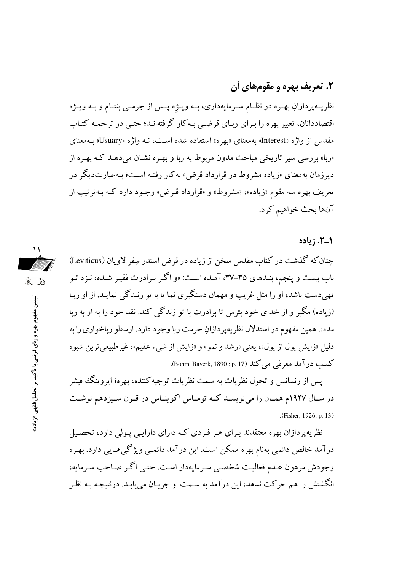# ۲. تعریف بهره و مقومهای آن

نظریــهپردازانِ بهـره در نظــام سـرمایهداری، بــه ویــژه پــس از جرمــی بنتــام و بــه ویــژه اقتصاددانان، تعبیر بهره را بـرای ربـای قرضـی بـه کار گرفتهانـد؛ حتـی در ترجمـه کتـاب مقدس از واژه «Interest» بهمعنای «بهره» استفاده شده است، نـه واژه «Usuary» بـهمعنای «ربا» بررسی سیر تاریخی مباحث مدون مربوط به ربا و بهـره نشـان میدهـد کـه بهـره از دیرزمان بهمعنای «زیاده مشروط در قرارداد قرض» به کار رفتـه اسـت؛ بـهعبارتدیگر در تعریف بهره سه مقوم «زیاده»، «مشروط» و «قرارداد قـرض» وجـود دارد کـه بـهتر تیب از آنها بحث خواهيم كرد.

١\_٢. زياده

چنان که گذشت در کتاب مقدس سخن از زیاده در قرض استدر سفر لاویان (Leviticus) باب بیست و پنجم، بنـدهای ۳۵-۳۷، آمـده اسـت: «و اگـر بـرادرت فقیـر شـده، نـزد تـو تهی دست باشد، او را مثل غریب و مهمان دستگیری نما تا با تو زنـدگی نمایـد. از او ربـا (زیاده) مگیر و از خدای خود بترس تا برادرت با تو زندگی کند. نقد خود را به او به ربا مده». همين مفهوم در استدلال نظريه پر دازانِ حرمت ربا وجود دارد. ارسطو رباخواري را به دلیل «زایش پول از پول»، یعنی «رشد و نمو» و «زایش از شیء عقیم»، غیرطبیعی ترین شیوه كسب در آمد معرفي مي كند (p. 17) (Bohm, Baverk, 1890 : p. 17).

پس از رنسانس و تحول نظریات به سمت نظریات توجیه کننده، بهره؛ ایروینگ فیشر در سـال ١٩٢٧م همـان را مي نويسـد كـه تومـاس اكوينـاس در قـرن سـيزدهم نوشـت (Fisher, 1926: p. 13)

نظریه پر دازان بهره معتقدند بـرای هـر فـردی کـه دارای دارایـی پـولی دارد، تحصـیل درآمد خالص دائمی بهنام بهره ممکن است. این درآمد دائمـی ویژگیهایی دارد. بهـره وجودش مرهون عـدم فعاليـت شخصـي سـرمايهدار اسـت. حتـي اگـر صـاحب سـرمايه، انگشتش را هم حرکت ندهد، این درآمد به سـمت او جریـان می یابـد. درنتیجـه بـه نظـر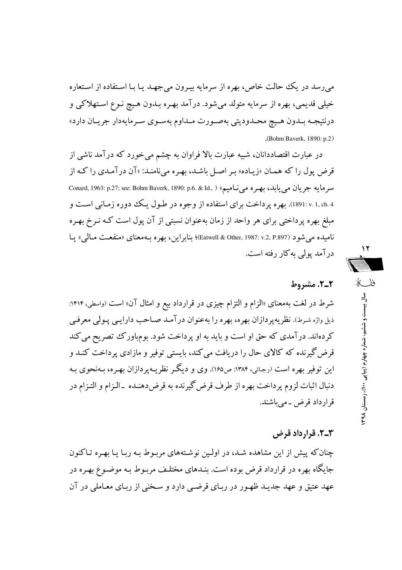می رسد در یک حالت خاص، بهره از سرمایه بیـرون می جهـد یـا بـا اسـتفاده از اسـتعاره خيلې قديمې، بهره از سرمايه متولد مېشود. درآمد بهـره بـدون هـيج نـوع اسـتهلاكې و درنتيجـه بـدون هـيچ محـدوديتي بهصـورت مـداوم بهسـوي سـرمايهدار جريـان دارد»  $(Bohm Baverk. 1890: p.2)$ 

در عبارت اقتصاددانان، شبیه عبارت بالا فراوان به چشم میخورد که درآمد ناشی از قرض یول را که همان «زیاده» بر اصل باشد، بهره می نامند: «آن درآمدی را که از سر مايه جريان مي يابله، بهره مي ناميم» ( .Conard, 1963: p.27; see: Bohm Baverk, 1890: p.6. & Id., ) 4 .1 .ex .1 .ch ). بهره پر داخت براي استفاده از وجوه در طـول يـک دوره زمـاني اسـت و مبلغ بهره پرداختی برای هر واحد از زمان بهعنوان نسبتی از آن پول است کـه نـرخ بهـره ناميده مي شود (Datwell & Other, 1987: v.2, P.897)؛ بنابراين، بهره بـهمعناي «منفعـت مـالمي» يـا درآمد پولی به کار رفته است.

2-2. مشدوط

شرط در لغت بهمعنای «الزام و التزام چیزی در قرارداد بیع و امثال آن» است (واسطی، ۱۴۱۴: ذیل واژه شرط). نظریهپردازان بهره، بهره را بهعنوان درآمد صـاحب دارایـبي پـولـي معرفـي کردهاند. درآمدی که حق او است و باید به او پرداخت شود. بومباورک تصریح می کند قرض گیرنده که کالای حال را دریافت می کند، بایستی توفیر و مازادی پرداخت کنـد و این توفیر بهره است (رجائی، ۱۳۸۴: ص۱۶۵). وی و دیگر نظریـه پردازان بهـره، بـهنحوی بـه دنبال اثبات لزوم پرداخت بهره از طرف قرض گیرنده به قرض دهنـده \_الـزام و التـزام در قرارداد قرض ۔می باشند.

### ۳\_۲. قرارداد قرض

چنان که پیش از این مشاهده شـد، در اولـین نوشـتههای مربـوط بـه ربـا یـا بهـره تـاکنون جایگاه بهره در قرارداد قرض بوده است. بنـدهای مختلـف مربـوط بـه موضـوع بهـره در عهد عتيق و عهد جديـد ظهـور در ربـاي قرضـي دارد و سـخني از ربـاي معـاملي در آن

۱۲ ففك ر<br>ج بیست و ششم، شماره چهارم (پیاپی ۱۰۰)، زمستان ۹۸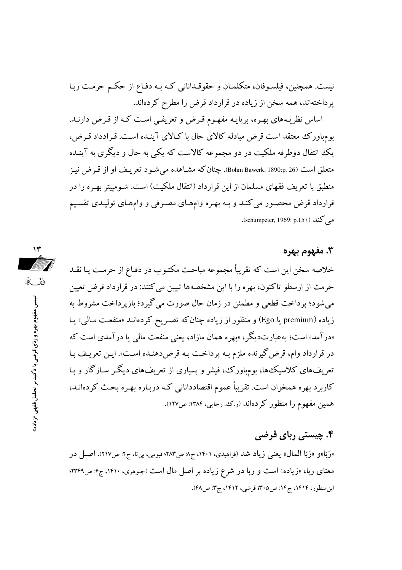نیست. همچنین، فیلسـوفان، متکلمـان و حقوقـدانانی کـه بـه دفـاع از حکـم حرمـت ربـا یر داختهاند، همه سخن از زیاده در قرارداد قرض را مطرح کردهاند.

اساس نظریـههای بهـره، بریایـه مفهـوم قـرض و تعریفـی اسـت کـه از قـرض دارنـد. بومباورک معتقد است قرض مبادله کالای حال با کـالای آینـده اسـت. قـرادداد قـرض، یک انتقال دوطرفه ملکیت در دو مجموعه کالاست که یکی به حال و دیگری به آینـده متعلق است Bohm Bawerk, 1890:p. 26). چنان که مشـاهده می شـود تعریـف او از قـرض نیـز منطبق با تعریف فقهای مسلمان از این قرارداد (انتقال ملکیت) است. شـومییتر بهـره را در قرارداد قرض محصور می کنـد و بـه بهـره وامهـای مصـرفی و وامهـای توليـدی تقسـيم می کند (schumpeter, 1969: p.157).

۱۳

ففكه

تبيين مفهوم يهره و رباى قرضى با تأكيد بر تحليل فقهى «زياده»

## 3. مفهوم بهره

خلاصه سخن این است که تقریباً مجموعه مباحث مکتـوب در دفـاع از حرمـت یـا نقـد حرمت از ارسطو تاکنون، بهره را با این مشخصهها تبیین می کنند: در قرارداد قرض تعیین می شود؛ پر داخت قطعی و مطمئن در زمان حال صورت می گیرد؛ بازیر داخت مشروط به زياده (premium يا Ego) و منظور از زياده چنان كه تصريح كردهانـد «منفعـت مـالـي» يـا «درآمد» است؛ بهعبارتدیگر ، «بهره همان مازاد، یعنی منفعت مالی یا درآمدی است که در قرارداد وام، قرض گیرنده ملزم بـه پرداخـت بـه قرضددهنـده اسـت». ايـن تعريـف بـا تعریفهای کلاسیکها، بومهاورک، فیشر و بسیاری از تعریفهای دیگر سـازگار و بـا کاربرد بهره همخوان است. تقریباً عموم اقتصاددانانی کـه دربـاره بهـره بحـث کردهانــد، همین مفهوم را منظور کردهاند (رک: رجایی، ۱۳۸۴: ص۱۲۷).

# ۴. چیستی ربای قرضی

«رَبَا»و «رَبَا المعال» يعني زياد شد (فراهيدي، ١۴٠١، ج٨ ص٢٨٣؛ فيومي، بيتا، ج٢: ص٢١٧). اصـل در معنای ربا، «زیاده» است و ربا در شرع زیاده بر اصل مال است (جوهری، ۱۴۱۰، ج۶: ص۳۳۴۹؛ ابن منظور، ۱۴۱۴، ج۱۴: ص۳۰۵؛ قرشی، ۱۴۱۲، ج۳: ص۴۸).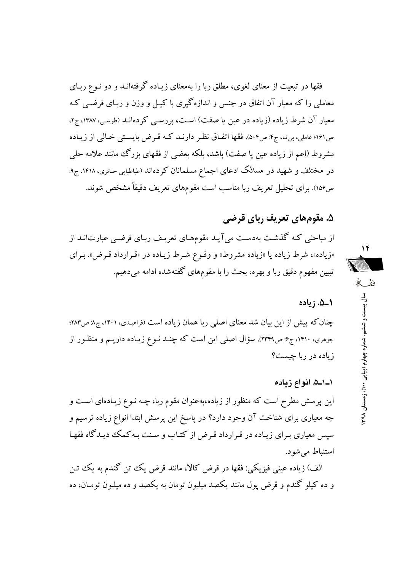فقها در تبعیت از معنای لغوی، مطلق ربا را بهمعنای زیـاده گرفتهانـد و دو نـوع ربـای معاملی را که معیار آن اتفاق در جنس و اندازهگیری با کیـل و وزن و ریـای قرضـی کـه معیار آن شرط زیاده (زیاده در عین یا صفت) است، بررسبی کردهانـد (طوسی، ۱۳۸۷، ج۲، ص١٩١؛ عاملي، بي تـا، ج۴: ص٥٠۴). فقها اتفــاق نظـر دارنــد كــه قـرض بايسـتي خـالي از زيــاده مشروط (اعم از زیاده عین یا صفت) باشد، بلکه بعضی از فقهای بزرگ مانند علامه حلی در مختلف و شهید در مسالک ادعای اجماع مسلمانان کردهاند (طباطبایی حائری، ۱۴۱۸، ج۹: ص١۵۶). برای تحلیل تعریف ربا مناسب است مقومهای تعریف دقیقاً مشخص شوند.

# ۵. مقومهای تعریف ربای قرضی

از مباحثی کـه گذشـت بهدسـت میآیـد مقومهـای تعریـف ربـای قرضـی عبارت|نـد از «زیاده»، شرط زیاده یا «زیاده مشروط» و وقـوع شـرط زیـاده در «قـرارداد قـرض». بـرای تبیین مفهوم دقیق ربا و بهره، بحث را با مقومهای گفتهشده ادامه میدهیم.

1\_۵. زياده

چنان که پیش از این بیان شد معنای اصلی ربا همان زیاده است (فراهیدی، ۱۴۰۱، ج۸: ص۲۸۳؛ جوهری، ۱۴۱۰، ج۶: ص۲۳۴۹). سؤال اصلی این است که چنـد نـوع زیـاده داریـم و منظـور از زیاده در ربا چیست؟

### ١\_١\_۵. انواع زياده

این پرسش مطرح است که منظور از زیاده،بهعنوان مقوم ربا، چـه نـوع زیـادهای اسـت و چه معیاری برای شناخت آن وجود دارد؟ در پاسخ این پرسش ابتدا انواع زیاده ترسیم و سپس معیاری بـرای زیـاده در قـرارداد قـرض از کتـاب و سـنت بـه کـمک دیـدگاه فقهـا استنباط مي شو د.

الف) زياده عيني فيزيكي: فقها در قرض كالا، مانند قرض يك تن گندم به يك تن و ده کیلو گندم و قرض پول مانند یکصد میلیون تومان به یکصد و ده میلیون تومـان، ده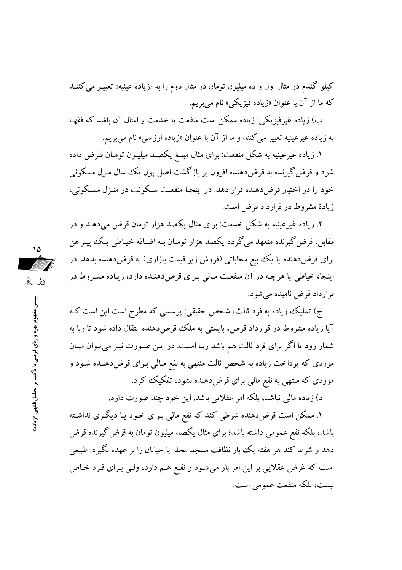کیلو گندم در مثال اول و ده میلیون تومان در مثال دوم را به «زیاده عینیه» تعبیـر می کننــد که ما از آن با عنوان «زياده فيزيکي» نام مي بريم.

ب) زياده غيرفيزيكي: زياده ممكن است منفعت يا خدمت و امثال آن باشد كه فقهـا به زياده غيرعينيه تعبير مي كنند و ما از آن با عنوان «زياده ارزشي» نام مي بريم.

۱. زیاده غیرعینیه به شکل منفعت: برای مثال مبلـغ یکصـد میلیـون تومـان قـرض داده شود و قرض گیرنده به قرضدهنده افزون بر بازگشت اصل پول یک سال منزل مسکونی خود را در اختیار قرضدهنده قرار دهد. در اینجـا منفعـت سـکونت در منـزل مسـکونی، زیادهٔ مشروط در قرارداد قرض است.

۲. زیاده غیرعینیه به شکل خدمت: برای مثال یکصد هزار تومان قرض میدهـد و در مقابل، قرض گیرنده متعهد می گردد یکصد هزار تومـان بـه اضـافه خیـاطی یـک پیـراهن برای قرض دهنده یا یک بیع محاباتی (فروش زیر قیمت بازاری) به قرض دهنده بدهد. در اینجا، خیاطی یا هرچه در آن منفعت مـالی بـرای قرضدهنـده دارد، زیـاده مشـروط در قرارداد قرض نامیده میشود.

ج) تملیک زیاده به فرد ثالث، شخص حقیقی: پرسشی که مطرح است این است کـه آیا زیاده مشروط در قرارداد قرض، بایستی به ملک قرض دهنده انتقال داده شود تا ریا به شمار رود یا اگر برای فرد ثالث هم باشد ربـا اسـت. در ایـن صـورت نیـز می تـوان میـان موردی که پرداخت زیاده به شخص ثالث منتهی به نفع مـالی بـرای قرضدهنـده شـود و موردی که منتهی به نفع مالی برای قرضدهشده نشود، تفکیک کرد.

د) زیاده مالی نباشد، بلکه امر عقلایی باشد. این خود چند صورت دارد.

۱. ممکن است قرضددهنده شرطی کند که نفع مالی بـرای خـود یـا دیگـری نداشـته باشد، بلکه نفع عمومی داشته باشد؛ برای مثال یکصد میلیون تومان به قرض گیرنده قرض دهد و شرط کند هر هفته یک بار نظافت مسجد محله یا خیابان را بر عهده بگیرد. طبیعی است که غرض عقلایی بر این امر بار میشود و نفع هـم دارد، ولـی بـرای فـرد خـاص نيست، بلكه منفعت عمو مي است.

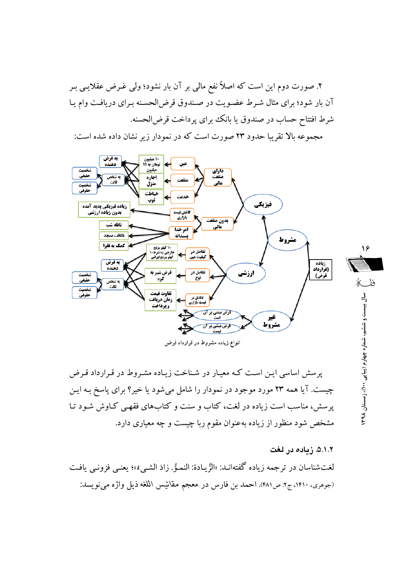۲. صورت دوم این است که اصلاً نفع مالی بر آن بار نشود؛ ولی غـرض عقلایـی بـر آن بار شود؛ برای مثال شـرط عضـویت در صـندوق قرض|لحسـنه بـرای دریافـت وام یـا شرط افتتاح حساب در صندوق یا بانک برای پرداخت قرض الحسنه.

مجموعه بالا تقریبا حدود ۲۳ صورت است که در نمودار زیر نشان داده شده است:



پرسش اساسی ایـن اسـت کـه معیـار در شـناخت زیـاده مشـروط در قـرارداد قـرض چیست. آیا همه ۲۳ مورد موجود در نمودار را شامل میشود یا خیر؟ برای پاسخ بـه ایـن یرسش، مناسب است زیاده در لغت، کتاب و سنت و کتابهای فقهبی کیاوش شود تیا مشخص شود منظور از زیاده بهعنوان مقوم ربا چیست و چه معیاری دارد.

۵.۱.۲. زیاده در لغت لغتشناسان در ترجمه زياده گفتهانـد: «الزِّيـادة: النمـوُّ. زادَ الشـيءُ»؛ يعنـي فزونـي يافـت (جوهري، ١٤١٠، ج٢: ص٤٨١). احمد بن فارس در معجم مقائيس اللغه ذيل واژه مي نويسد: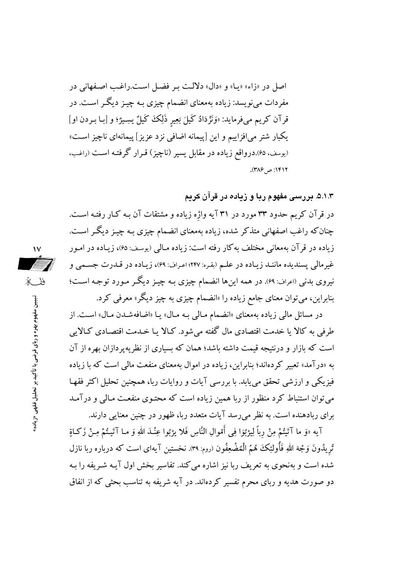اصل در «زاء» «پیا» و «دال» دلالت به فضل است.راغب اصفهانی در مفردات می نویسد: زیاده بهمعنای انضمام چیزی بـه چیـز دیگـر اسـت. در قرآن کریم میفرماید: «وَنَزْدَادُ کَیلَ بَعِیرِ ذَلِکَ کَیلٌ یسِیژٌ؛ و [بـا بـردن او] يکبار شتر مي|فزاييم و اين [پيمانه اضافي نزد عزيز] پيمانهاي ناچيز است» (یوسف، ۶۵).درواقع زیاده در مقابل یسیر (ناچیز) قـرار گرفتـه اسـت (راغـب، ۱۴۱۲: ص ۳۸۶).

۵.۱.۳. بررسی مفهوم ربا و زیاده در قرآن کریم

در قرآن کریم حدود ۳۳ مورد در ۳۱ آیه واژه زیاده و مشتقات آن بـه کـار رفتـه اسـت. چنان که راغب اصفهانی متذکر شده، زیاده بهمعنای انضمام چیزی بـه چیـز دیگـر اسـت. زیاده در قر آن بهمعانی مختلف به کار رفته است: زیاده مـالی (پوسف: ۶۵)، زیـاده در امـور غیر مالی پسندیده ماننـد زیـاده در علـم (بقـره: ۲۴۷؛ اعـراف: ۶۹)، زیـاده در قـدرت جسـمی و نیروی بدنی (اعراف: ۶۹). در همه اینها انضمام چیزی بـه چیـز دیگـر مـورد توجـه اسـت؛ بنابراین، می توان معنای جامع زیاده را «انضمام چیزی به چیز دیگر» معرفی کرد.

در مسائل مالی زیاده بهمعنای «انضمام مـالی بـه مـال» یـا «اضافهشـدن مـال» اسـت. از طرفی به کالا یا خدمت اقتصادی مال گفته میشود. کـالا یـا خـدمت اقتصـادی کـالایی است که بازار و درنتیجه قیمت داشته باشد؛ همان که بسیاری از نظر به یردازان بهره از آن به «درآمد» تعبیر کردهاند؛ بنابراین، زیاده در اموال بهمعنای منفعت مالی است که با زیاده فیزیکی و ارزشی تحقق می یابد. با بررسی آیات و روایات ربا، همچنین تحلیل اکثر فقهـا می توان استنباط کرد منظور از ربا همین زیاده است که محتـوی منفعـت مـالـی و درآمـد برای ربادهنده است. به نظر می رسد آیات متعدد ربا، ظهور در چنین معنایی دارند.

آيه «وَ ما آتَيتُمْ مِنْ رباً لِيژبُوَا فِي أَمْوالِ النَّاسِ فَلا يژبُوا عِنْـٰدَ اللهِ وَ مـا آتَيتُمْ مِـنْ زكاةٍ تُريدُونَ وَجْهَ اللهِ فَأُولئِكَ هُمُ الْمُضْعِفُون (روم: ٣٩). نخستين آيهاى است كه درباره ربا نازل شده است و بهنجوی به تعریف ربا نیز اشاره می کند. تفاسیر بخش اول آیـه شـریفه را بـه دو صورت هدیه و ربای محرم تفسیر کردهاند. در آیه شریفه به تناسب بحثی که از انفاق



تبیین مفهوم بهره و ربای قرضی با تأکید بر تحلیل فقهی «زیاده»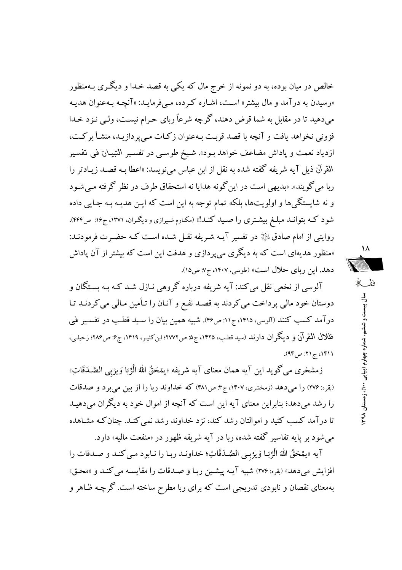خالص در میان بوده، به دو نمونه از خرج مال که یکی به قصد خـدا و دیگـری بـهمنظور «رسیدن به درآمد و مال بیشتر» است، اشـاره کـرده، مـیفرمایـد: «آنچـه بـهعنوان هدیـه می دهید تا در مقابل به شما قرض دهند، گرچه شرعاً ربای حرام نیست، ولی نیز د خیدا فزونی نخواهد یافت و آنچه با قصد قربت بـهعنوان زكـات مـی پردازیـد، منشـأ بركـت، ازدياد نعمت و پاداش مضاعف خواهد بـود». شـيخ طوسـي در تفسـير التبيـان في تفسـير المقرآن ذیل آیه شریفه گفته شده به نقل از ابن عباس میiویسد: «اعطا بـه قصـد زیـادتر را ربا می گویند». «بدیهی است در این گونه هدایا نه استحقاق طرف در نظر گرفته مبی شود و نه شایستگی ها و اولویتها، بلکه تمام توجه به این است که ایـن هدیـه بـه جـایی داده شود کـه بتوانـد مبلـغ بیشـتری را صـید کنـد!» (مکـارم شـیرازی و دیگـران، ۱۳۷۱، ج۱۶: ص۴۴۴). روایتی از امام صادق ﷺ در تفسیر آیـه شـریفه نقـل شـده اسـت کـه حضـرت فرمودنـد: «منظور هدیهای است که به دیگری می پردازی و هدفت این است که بیشتر از آن پاداش دهد. این ریای حلال است» (طوسی، ۱۴۰۷، ج۷: ص۱۵).

آلوسی از نخعی نقل می کند: آیه شریفه درباره گروهی نـازل شـد کـه بـه بسـتگان و دوستان خود مالی پرداخت می کردند به قصد نفع و آنـان را تـأمین مـالی می کردنـد تـا درآمد کسب کنند (آلوسی، ۱۴۱۵، ج۱۱: ص۴۶). شبیه همین بیان را سـید قطـب در تفسـیر فی ظلال القوآن و دیگر ان دارند (سید قطب، ۱۴۲۵، ج۵ ص ۲۷۷۲؛ ابن کثیـر، ۱۴۱۹، ج۶: ص ۲۸۶؛ زحیلـی، ٬۱۴۱۱ ج ۲۱: ص۹۴).

زمشخري مي گويد اين آيه همان معناي آيه شريفه «يمْحَقُ اللهُ الْرِّبَا وَيژبي الصَّـدَقَاتِ» (بقره: ۲۷۶) را می دهد (زمخشری، ۱۴۰۷، ج۳ ص۴۸۱) که خداوند ربا را از بین می برد و صدقات را رشد می دهد؛ بنابراین معنای آیه این است که آنچه از اموال خود به دیگران می دهیـد تا درآمد کسب کنید و اموالتان رشد کند، نزد خداوند رشد نمی کنـد. چنان کـه مشـاهده می شود بر پایه تفاسیر گفته شده، ربا در آیه شریفه ظهور در «منفعت مالیه» دارد.

آيه «يمْحَقُ اللَّهُ الْرِّبَـا وَيِرْبِـي الصَّـدَقَاتِ؛ خداونـد ربـا را نـابود مـي كنـد و صـدقات را افزايش مي دهد» (بقره: ٢٧۶) شبيه آيـه پيشـين ربـا و صـدقات را مقايسـه مي كنـد و «محـق» بهمعنای نقصان و نابودی تدریجی است که برای ربا مطرح ساخته است. گرچـه ظـاهر و

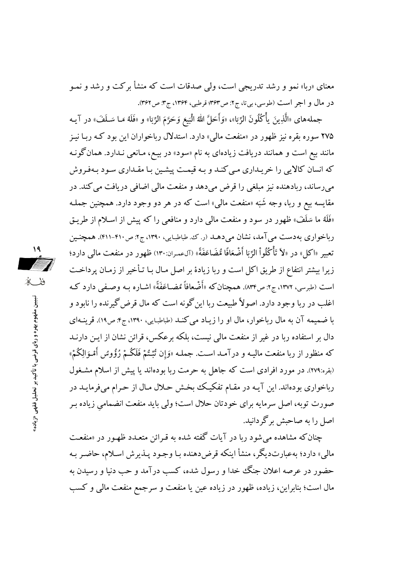معنای «ربا» نمو و رشد تدریجی است، ولم صدقات است که منشأ برکت و رشد و نمـو در مال و اجر است (طوسی، بی تا، ج۲: ص۳۶۳؛ قرطبی، ۱۳۶۴، ج۳: ص۳۶۲).

جملههاي «الَّذِينَ يأْكُلُونَ الرِّبَا»، «وَأَحَلَّ اللهُ الْبَيعَ وَحَرَّمَ الرِّبَا» و «فَلَهُ مَـا سَـلَفَ» در آيـه ۲۷۵ سوره بقره نیز ظهور در «منفعت مالی» دارد. استدلال رباخواران این بود کـه ربـا نیـز مانند بیع است و همانند دریافت زیادهای به نام «سود» در بیـع، مـانعی نـدارد. همانگونـه که انسان کالایی را خریـداری مـی کنـد و بـه قیمـت پیشـین بـا مقـداری سـود بـهفـروش می رساند، ربادهنده نیز مبلغی را قرض می دهد و منفعت مالی اضافی دریافت می کند. در مقایسه بیع و ربا، وجه شَبَه «منفعت مالی» است که در هر دو وجود دارد. همچنین جملـه «فَلَهُ ما سَلَفَ» ظهور در سود و منفعت مالی دارد و منافعی را که پیش از اسلام از طریـق رباخواری بهدست می آمد، نشان می دهـد (ر. ک. طباطبایی، ۱۳۹۰، ج۲: ص۴۱۰-۴۱۱). همچنـین تعبير «اكل» در «لاَ تَأْكُلُواْ الرِّبَا أَصْعَافًا مُّضَاعَفَةً» (آلءمران:١٣٠) ظهور در منفعت مالي دارد؛ زیرا بیشتر انتفاع از طریق اکل است و ربا زیادهٔ بر اصل مـال بـا تـأخیر از زمـان یرداخـت است (طبرسي، ١٣٧٢، ج٢: ص١٣۴). همچنان كه «أَضْعافاً مُضـاعَفَةً» اشـاره بـه وصـفي دارد كـه اغلب در ربا وجود دارد. اصولاً طبیعت ربا این گونه است که مال قرض گیرنده را نابود و با ضمیمه آن به مال رباخوار، مال او را زیباد می کنید (طباطبایی، ۱۳۹۰، ج۴: ص۱۹). قرینیهای دال بر استفاده ریا در غیر از منفعت مالی نیست، بلکه برعکس، قرائن نشان از ایـن دارنـد كه منظور از ربا منفعت ماليـه و درآمـد اسـت. جملـه «وَإِن تُبْـتُمْ فَلَكُـمْ رُؤُوسُ أَمْـوَالِكُمْ» (بقره:۲۷۹). در مورد افرادی است که جاهل به حرمت ربا بودهاند یا پیش از اسلام مشـغول رباخواری بودهاند. این آیـه در مقـام تفکیـک بخـش حـلال مـال از حـرام میفرمایـد در صورت توبه، اصل سرمایه برای خودتان حلال است؛ ولی باید منفعت انضمامی زیاده بـر اصل را به صاحبش برگر دانید.

چنان که مشاهده می شود ربا در آیات گفته شده به قـرائن متعـدد ظهـور در «منفعـت مالي» دارد؛ به عبارتديگر، منشأ اينكه قرض دهنده بـا وجـود پــذيرش اســلام، حاضــر بــه حضور در عرصه اعلان جنگ خدا و رسول شده، کسب درآمد و حب دنیا و رسیدن به مال است؛ بنابراین، زیاده، ظهور در زیاده عین یا منفعت و سرجمع منفعت مالی و کسب

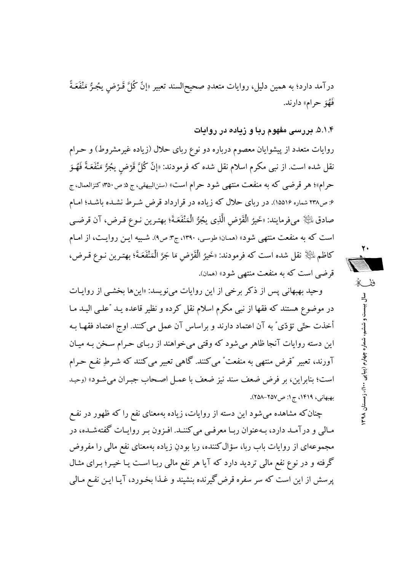درآمد دارد؛ به همین دلیل، روایات متعددِ صحیحالسند تعبیر «إنَّ كُلَّ قَــْرْض يجُـرُّ مَنْفَعَـةً فَهُوَ حرام» دارند.

۵.۱.۴. در رسی مفهوم ریا و زیاده در روایات

روایات متعدد از پیشوایان معصوم درباره دو نوع ربای حلال (زیاده غیرمشروط) و حـرام نقل شده است. از نبی مکرم اسلام نقل شده که فرمودند: «إنّ کُلَّ قَرْض يجُرُّ مَنْفَعَـةً فَهُـوَ حرام»؛ هر قرضي كه به منفعت منتهي شود حرام است» (سننالبيهقي، ج ۵: ص ۳۵۰؛ كنزالعمال، ج ۶: ص۳۳۸ شماره ۱۵۵۱۶). در ربای حلال که زیاده در قرارداد قرض شـرط نشـده باشـد؛ امـام صادق لِلثَّلِا ميفرمايند: «خَيرُ الْقَرْضِ الَّذِي يجُرُّ الْمَنْفَعَةَ؛ بهترين نـوع قـرض، آن قرضـي است که به منفعت منتهی شود» (همان؛ طوسی، ۱۳۹۰، ج۳: ص۹). شبیه ایـن روایـت، از امـام كاظم ﷺ نقل شده است كه فرمودند: «خَيرُ الْقَرْضِ مَا جَرَّ الْمَنْفَعَةَ؛ بهتـرين نـوع قـرض، قرضی است که به منفعت منتهی شود» (همان).

وحید بهبهانی پس از ذکر برخی از این روایات می نویسد: «این ها بخشبی از روایـات در موضوع هستند که فقها از نبی مکرم اسلام نقل کرده و نظیر قاعده یـد "علـی الیـد مـا أخذت حتّى تؤدّى ٌ به آن اعتماد دارند و براساس آن عمل مى كنند. اوج اعتماد فقهـا بـه این دسته روایات آنجا ظاهر می شود که وقتی می خواهند از ربـای حـرام سـخن بـه میـان آورند، تعبیر "قرض منتهی به منفعت" می کنند. گاهی تعبیر می کنند که شـرطِ نفـع حـرام است؛ بنابراين، بر فرض ضعف سند نيز ضعف با عمـل اصـحاب جبـران مي شـود» (وحيـد بهبهانی، ١۴١٩، ج ١: ص٢٥٧-٢٥٨).

چنان که مشاهده می شود این دسته از روایات، زیاده بهمعنای نفع را که ظهور در نفـع مـالي و درآمـد دارد، بـهعنوان ربـا معرفـي مي كننـد. افـزون بـر روايـات گفتهشـده، در مجموعهای از روایات باب ربا، سؤال کننده، ربا بودنِ زیاده بهمعنای نفع مالی را مفروض گرفته و در نوع نفع مالی تردید دارد که آیا هر نفع مالی ربـا اسـت یـا خیـر؛ بـرای مثـال پرسش از این است که سر سفره قرض گیرنده بنشیند و غـذا بخـورد، آیـا ایـن نفـع مـالمی

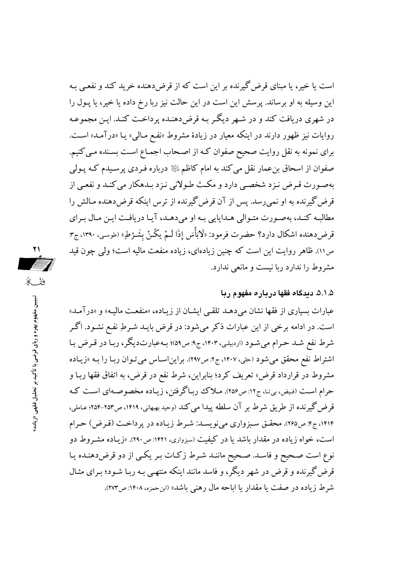است یا خیر، یا مبنای قرض گیرنده بر این است که از قرضدهنده خرید کند و نفعبی بـه این وسیله به او برساند. پرسش این است در این حالت نیز ربا رخ داده یا خیر، یا پـول را در شهری دریافت کند و در شبهر دیگر به قرض دهنده پرداخت کنید. این مجموعیه روایات نیز ظهور دارند در اینکه معیار در زیادهٔ مشروط «نفـع مـالمی» یـا «درآمـد» اسـت. برای نمونه به نقل روایت صحیح صفوان کـه از اصـحاب اجمـاع اسـت بسـنده مـی کنیم. صفوان از اسحاق بن عمار نقل می کند به امام کاظم ﷺ درباره فـردی پر سـیدم کـه پـولی بهصورت قرض نـزد شخصـي دارد و مكـث طـولاني نـزد بـدهكار مي كنـد و نفعـي از قرض گیرنده به او نمی رسد. پس از آن قرض گیرنده از ترس اینکه قرض دهنده مـالش را مطالبه كند، بهصورت متوالي هـدايايي بـه او مي دهـد، آيـا دريافـت ايـن مـال بـراي قرضcهنده اشكال دارد؟ حضرت فرمود: «لَا بُأْسَ إذَا لَـمْ يكُـنْ بِشَـرْطٍ» (طوسـي، ١٣٩٠، ج٣: ص١١). ظاهر روايت اين است كه چنين زيادهاي، زياده منفعت ماليه است؛ ولي چون قيد مشروط را ندارد ربا نیست و مانعی ندارد.

۲۱

**The Second Second** 

ففكه

تبیین مفهوم پهره و ربای قرضی با تأکید بر تحلیل فقهی «زیاده

### ۵.۱.۵. دیدگاه فقها درباره مفهوم ربا

عبارات بسیاری از فقها نشان میدهـد تلقـی ایشـان از زیـاده، «منفعـت مالیـه» و «درآمـد» است. در ادامه برخی از این عبارات ذکر میشود: در قرض بایـد شـرطِ نفـع نشـود. اگـر شرط نفع شـد حـرام می شـود (اردبیلـی، ۱۴۰۳، ج۹: ص۵۹)؛ بـهعبارتدیگر، ربـا در قـرض بـا اشتراط نفع محقق می شود (حلی، ۱۴۰۷، ج۲: ص۲۹۷). براین اساس می تـوان ربـا را بـه «زیـاده مشروط در قرارداد قرض» تعریف کرد؛ بنابراین، شرط نفع در قرض، به اتفاق فقها ربـا و حرام است (فیض، بیتا، ج۱۲: ص۲۵۶). ملاک رباگرفتن، زیاده مخصوصهای است که قرض گیرنده از طریق شرط بر آن سلطه پیدا می کند (وحید بهبهانی، ۱۴۱۹، ص۲۵۳-۲۵۴؛ عـاملی، ۱۴۱۴، ج۴: ص۲۶۵). محقـق سـبزواري ميiويسـد: شـرط زيـاده در پرداخـت (قـرض) حـرام است، خواه زیاده در مقدار باشد یا در کیفیت (سبزواری، ۱۴۲۱: ص۲۹۰). «زیـاده مشـروط دو نوع است صحیح و فاسد. صحیح مانند شرط زکات بر یکی از دو قرضدهنده یا قرض گیرنده و قرض در شهر دیگر، و فاسد مانند اینکه منتهـی بـه ربـا شـود؛ بـرای مثـال شرط زياده در صفت يا مقدار يا اباحه مال رهني باشد» (ابن حمزه، ۱۴۰۸: ص۲۷۳).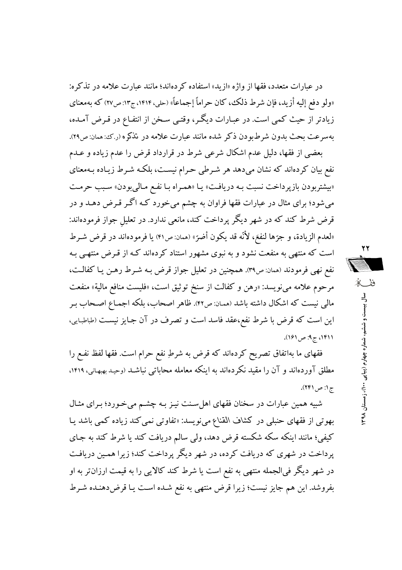در عبارات متعدد، فقها از واژه «ازید» استفاده کردهاند؛ مانند عبارت علامه در تذکره: «ولو دفع إليه أزيد، فإن شرط ذلك، كان حراماً إجماعاً» (حلي، ١۴١۴، ج١٣: ص٢٧) كه بهمعناي زيادتر از حيث كمبي است. در عبـارات ديگـر، وقتـي سـخن از انتفـاع در قـرض آمـده، بهسرعت بحث بدون شرطبودن ذكر شده مانند عبارت علامه در تذكره (رك: همان: ص٢٩).

بعضی از فقها، دلیل عدم اشکال شرعی شرط در قرارداد قرض را عدم زیاده و عــدم نفع بیان کردهاند که نشان میدهد هر شـرطی حـرام نیسـت، بلکـه شـرط زیـاده بـهمعنای «بیشتربودن بازپرداخت نسبت به دریافت» یا «همراه با نفع مالیبودن» سبب حرمت میشود؛ برای مثال در عبارات فقها فراوان به چشم میخورد کـه اگـر قـرض دهـد و در قرض شرط کند که در شهر دیگر پرداخت کند، مانعی ندارد. در تعلیل جواز فرمودهاند: «لعدم الزيادة، و جرِّها لنفعَ، لأنَّه قد يكون أضرِّ» (ممان: ص۴۱) يا فرمودهاند در قرض شـرط است که منتهی به منفعت نشود و به نبوی مشهور استناد کردهاند کـه از قـرض منتهـی بـه نفع نهي فرمودند (همان: ص٣٩). همچنين در تعليل جواز قرض بـه شـرط رهـن يـا كفالـت، مرحوم علامه مي نويسد: «رهن و كفالت از سنخ توثيق است، «فليست منافع مالية» منفعت مالي نيست كه اشكال داشته باشد (همان: ص۴۲). ظاهر اصحاب، بلكه اجمـاع اصـحاب بـر این است که قرض با شرط نفع،عقد فاسد است و تصرف در آن جـایز نیسـت (طباطبـایی، ٬۱۴۱۱ ج۹: ص ۱۶۱).

فقهای ما بهاتفاق تصریح کردهاند که قرض به شرطِ نفع حرام است. فقها لفظ نفـع را مطلق آوردهاند و آن را مقید نکردهاند به اینکه معامله محاباتی نباشـد (وحیـد بهبهـانی، ۱۴۱۹، ج ۱: ص ۲۴۱).

شبیه همین عبارات در سخنان فقهای اهل سنت نیـز بـه چشـم میخورد؛ بـرای مثـال بهوتی از فقهای حنبلی در کشاف القناع میiویسد: «تفاوتی نمی کند زیاده کمی باشد یـا کیفی؛ مانند اینکه سکه شکسته قرض دهد، ولی سالم دریافت کند یا شرط کند به جـای پرداخت در شهری که دریافت کرده، در شهر دیگر پرداخت کند؛ زیرا همین دریافت در شهر دیگر فی الجمله منتهی به نفع است یا شرط کند کالایی را به قیمت ارزان تر به او بفروشد. این هم جایز نیست؛ زیرا قرض منتهی به نفع شـده اسـت یـا قرضدهشده شـرط

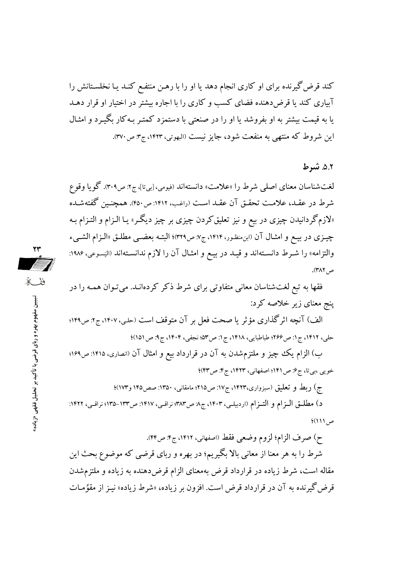کند قرض گیرنده برای او کاری انجام دهد یا او را با رهـن منتفـع کنـد یـا نخلسـتانش را آبیاری کند یا قرضدهنده فضای کسب و کاری را با اجاره بیشتر در اختیار او قرار دهـد یا به قیمت بیشتر به او بفروشد یا او را در صنعتی با دستمزد کمتـر بـه کار بگیـرد و امثـال این شروط که منتهی به منفعت شود، جایز نیست (البهوتی، ۱۴۲۳، ج۳: ص۳۷۰).

### ٥.٢. شرط

لغتشناسان معناي اصلي شرط را «علامت» دانستهاند (فيومي، [بيتا]، ج۲: ص۳۰۹). گويا وقوع شرط در عقـد، علامـت تحقـق آن عقـد اسـت (راغـب، ۱۴۱۲: ص٢٥٠). همچنـين گفتهشـده «لازمگردانیدن چیزی در بیع و نیز تعلیق کردن چیزی بر چیز دیگـر» یـا الـزام و التـزام بـه چیـزی در بیـع و امثـال آن (ابن.منظـور، ۱۴۱۴، ج۷: ص۳۲۹)؛ البتـه بعضـی مطلـق «الـزام الشـیء والتزامه» را شـرط دانسـتهاند و قيـد در بيـع و امثـال آن را لازم ندانسـتهاند «ايَسـوعى، ۱۹۸۶: ص ٣٨٢).

فقها به تبع لغتشناسان معانی متفاوتی برای شرط ذکر کردهانـد. می تـوان همـه را در پنج معنای زیر خلاصه کرد:

الف) آنچه اثرگذاری مؤثر یا صحت فعل بر آن متوقف است (حلبی، ۱۴۰۷، ج۲: ص۱۴۹؛ حلي، ١۴١٢، ج1: ص٤٢۶؟ طباطبايي، ١۴١٨، ج1: ص٥٣» نجفي، ١۴٠۴، ج. ص ١٥١)؛

ب) الزام یک چیز و ملتزمشدن به آن در قرارداد بیع و امثال آن (انصاری، ۱۴۱۵: ص۱۶۹؛ خويي ،بي تا، ج ۶: ص ۱۴۱؛ اصفهاني، ۱۴۲۳، ج ۴: ص ۴۳)؛

ج) ربط و تعلیق (سبزواری،۱۴۲۳، ج۱۷: ص۲۱۵؛ مامقانی، ۱۳۵۰: صص۱۴۵ و۱۷۳)؛

د) مطلـق الـزام و التـزام (اردبيلـي، ١۴٠٣، ج٨ ص٣٨٣؛ نراقـي، ١٤١٧: ص١٣٣-١٣٥؛ نراقـي، ١٤٢٢:  $(11)$ ص

ح) صرف الزام؛ لزوم وضعي فقط (اصفهاني، ١٤١٢، ج۴: ص۴۴).

شرط را به هر معنا از معانی بالا بگیریم؛ در بهره و ربای قرضی که موضوع بحث این مقاله است، شرط زیاده در قرارداد قرض بهمعنای الزام قرضدهنده به زیاده و ملتزمشدن قرض گیرنده به آن در قرارداد قرض است. افزون بر زیاده، «شرط زیاده» نیـز از مقوِّمـات



ففك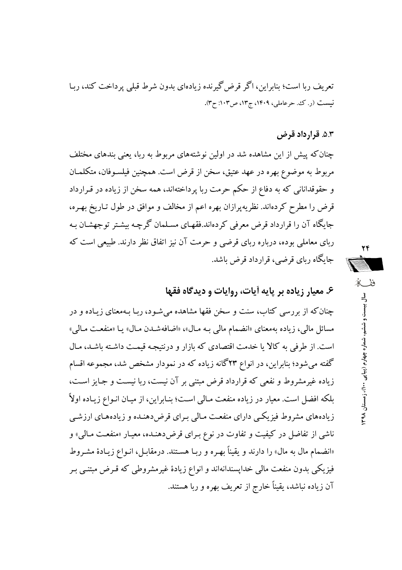تعریف ربا است؛ بنابراین، اگر قرض گیرنده زیادهای بدون شرط قبلی پرداخت کند، رببا نیست (ر. ک. حرعاملی، ۱۴۰۹، ج۱۳، ص۱۰۳: ح۳).

## ۵.۳. قرارداد قرض

چنان که پیش از این مشاهده شد در اولین نوشتههای مربوط به ربا، یعنی بندهای مختلف مربوط به موضوع بهره در عهد عتيق، سخن از قرض است. همچنين فيلسـوفان، متكلمـان و حقوقدانانی که به دفاع از حکم حرمت ربا پرداختهاند، همه سخن از زیاده در قـرارداد قرض را مطرح کردهاند. نظریه پرازان بهره اعم از مخالف و موافق در طول تـاریخ بهـره، جایگاه آن را قرارداد قرض معرفی کردهاند.فقهـای مسـلمان گرچـه بیشـتر توجهشـان بـه ربای معاملی بوده، درباره ربای قرضی و حرمت آن نیز اتفاق نظر دارند. طبیعی است که جایگاه ربای قرضی، قرارداد قرض باشد.

٢۴ ففكه  $\frac{3}{2}$ ست و شنشم، شماره چهار م (پیا پی ۱۰۰) ، زمستان ۹۸

۶. معیار زیاده بر پایه آیات، روایات و دیدگاه فقها

چنان که از بررسی کتاب، سنت و سخن فقها مشاهده می شـود، ربـا بـهمعنای زیـاده و در مسائل مالی، زیاده بهمعنای «انضمام مال<sub>ی</sub> بـه مـال»، «اضافهشـدن مـال» یـا «منفعـت مـالی» است. از طرفی به کالا یا خدمت اقتصادی که بازار و درنتیجه قیمت داشته باشد، مـال گفته می شود؛ بنابراین، در انواع ۲۳گانه زیاده که در نمودار مشخص شد، مجموعه اقسام زیاده غیرمشروط و نفعی که قرارداد قرض مبتنی بر آن نیست، ربا نیست و جایز است، بلکه افضل است. معیار در زیاده منفعت مـالی اسـت؛ بنـابراین، از میـان انـواع زیـاده اولاً زیادههای مشروط فیزیکی دارای منفعت مالی بـرای قرضدهنـده و زیادههـای ارزشـی ناشی از تفاضل در کیفیت و تفاوت در نوع بـرای قرضدهنـده، معیـار «منفعـت مـالی» و «انضمام مال به مال» را دارند و یقیناً بهره و ربـا هسـتند. درمقابـل، انـواع زیـادهٔ مشـروط فیزیکی بدون منفعت مالی خداپسندانهاند و انواع زیادهٔ غیرمشروطی که قـرض مبتنــی بـر آن زیاده نباشد، یقیناً خارج از تعریف بهره و ربا هستند.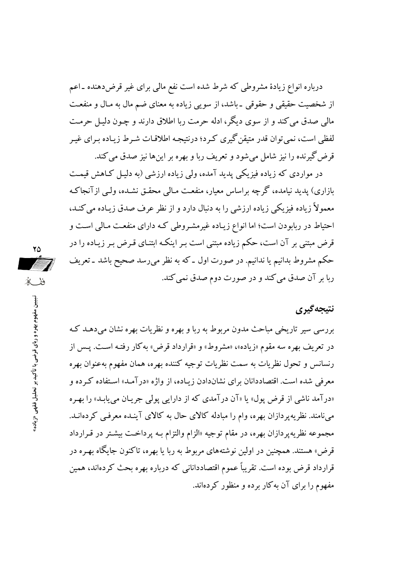درباره انواع زیادهٔ مشروطی که شرط شده است نفع مالی برای غیر قرضدهنده ـ اعم از شخصیت حقیقی و حقوقی ـ باشد، از سویی زیاده به معنای ضم مال به مـال و منفعـت مالي صدق مي كند و از سوى ديگر ، ادله حرمت ريا اطلاق دارند و چـون دليـل حرمـت لفظی است، نمی توان قدر متیقن گیری کـرد؛ درنتیجـه اطلاقـات شـرط زیـاده بـرای غیـر قرض گيرنده را نيز شامل مي شود و تعريف ريا و بهره بر اين ها نيز صدق مي كند.

در مواردی که زیاده فیزیکی پدید آمده، ولی زیاده ارزشی (به دلیل کـاهش قیمـت بازاری) پدید نیامده، گرچه براساس معیار، منفعت مـالمی محقـق نشـده، ولـی ازآنجاکـه معمولاً زیاده فیزیکی زیاده ارزشی را به دنبال دارد و از نظر عرف صدق زیـاده می کنـد، احتیاط در ربابودن است؛ اما انواع زیـاده غیرمشـروطی کـه دارای منفعـت مـالی اسـت و قرض مبتنی بر آن است، حکم زیاده مبتنی است بـر اینکـه ابتنـای قـرض بـر زیـاده را در حکم مشروط بدانیم یا ندانیم. در صورت اول ـ که به نظر می رسد صحیح باشد ـ تعریف ربا بر آن صدق می کند و در صورت دوم صدق نمی کند.

# نتىجەگىرى

بررسی سیر تاریخی مباحث مدون مربوط به ربا و بهره و نظریات بهره نشان می دهـد کـه در تعریف بهره سه مقوم «زیاده»، «مشروط» و «قرارداد قرض» به کار رفتـه اسـت. پـس از رنسانس و تحول نظريات به سمت نظريات توجيه كننده بهره، همان مفهوم بهعنوان بهره معرفی شده است. اقتصاددانان برای نشاندادن زیـاده، از واژه «درآمـد» اسـتفاده کـرده و «درآمد ناشی از قرض پول» یا «آن درآمدی که از دارایی پولی جریان می یابـد» را بهـره می نامند. نظریه پردازان بهره، وام را مبادله کالای حال به کالای آینـده معرفـی کردهانـد. مجموعه نظریه پر دازان بهره، در مقام توجیه «الزام والتزام بـه پرداخـت بیشـتر در قـرارداد قرض» هستند. همچنین در اولین نوشتههای مربوط به ربا یا بهره، تاکنون جایگاه بهـره در قرارداد قرض بوده است. تقریباً عموم اقتصاددانانی که درباره بهره بحث کردهاند، همین مفهوم را برای آن به کار برده و منظور کردهاند.

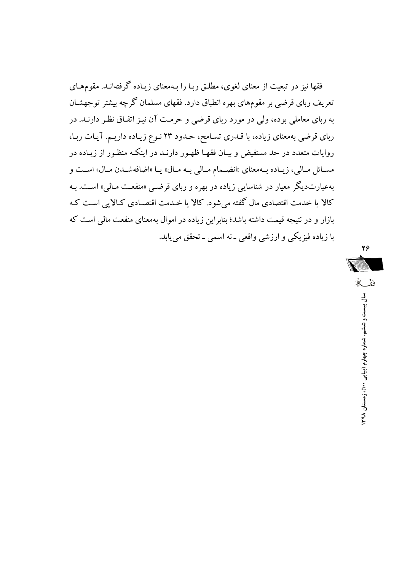فقها نیز در تبعیت از معنای لغوی، مطلـق ربـا را بـهمعنای زیـاده گرفتهانـد. مقومهـای تعریف ربای قرضی بر مقومهای بهره انطباق دارد. فقهای مسلمان گر چه بیشتر تو جهشـان به ربای معاملی بوده، ولی در مورد ربای قرضی و حرمت آن نیـز اتفـاق نظـر دارنـد. در ربای قرضی بهمعنای زیاده، با قـدری تسـامح، حـدود ۲۳ نـوع زیـاده داریـم. آیـات ربـا، روایات متعدد در حد مستفیض و بیـان فقهـا ظهـور دارنـد در اینکـه منظـور از زیـاده در مســائل مــالي، زيــاده بــهمعناي «انضــمام مــالي بــه مــال» يــا «اضافهشــدن مــال» اســت و بهعبارتدیگر معیار در شناسایی زیاده در بهره و ربای قرضبی «منفعت مـالی» اسـت. بـه کالا یا خدمت اقتصادی مال گفته می شود. کالا یا خـدمت اقتصـادی کـالایی اسـت کـه بازار و در نتیجه قیمت داشته باشد؛ بنابراین زیاده در اموال بهمعنای منفعت مالی است که با زیاده فیزیکی و ارزشی واقعی ـ نه اسمی ـ تحقق می،ابد.

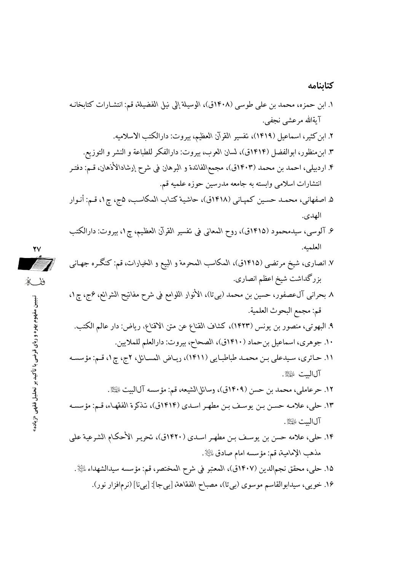### كتابنامه

١. ابن حمزه، محمد بن علي طوسي (١۴٠٨ق)، الوسيلة إلى نيل الفضيلة، قم: انتشـارات كتابخانـه آيةالله مرعشي نجفي. ٢. ابن كثير، اسماعيل (١۴١٩)، تفسير القرآن العظيم، بيروت: دارالكتب الاسلاميه. ٣. ابن منظور، ابوالفضل (١٤١٤ق)، لسان العرب، بيروت: دارالفكر للطباعة و النشر و التوزيع. ۴. اردبیلی، احمد بن محمد (۱۴۰۳ق)، مجمع\لفائدة و البرهان فی شرح إرشادالأذهان، قـم: دفتـر انتشارات اسلامی وابسته به جامعه مدرسین حوزه علمیه قم. ۵. اصفهانی، محمـد حسـین کمپـانی (۱۴۱۸ق)، حاشـیة کتـاب المکاسب، ۵ج، چ۱، قـم: أنـوار الهدى. ۶. آلوسی، سیدمحمود (۱۴۱۵ق)، روح المعانی فی تفسیر القرآن العظیم، چ۱، بیروت: دارالکتب العلميه.  $\sqrt{7}$ ۷. انصاری، شیخ مرتضی (۱۴۱۵ق)، المکاسب المحرمة و البیع و الخیارات، قم: کنگـره جهـانـی بزرگداشت شيخ اعظم انصارى. ٨ بحراني آلءصفور، حسين بن محمد (بيتا)، الأنوار اللوامع في شرح مفاتيح الشرائع، عمج، چ١، قم: مجمع البحوث العلمية. ٩. البهوتي، منصور بن يونس (١۴٢٣)، كشاف القناع عن متن الاقناع، رياض: دار عالم الكتب. ۱۰. جوهري، اسماعيل بن حماد (۱۴۱۰ق)، الصحاح، بيروت: دارالعلم للملايين. ١١. حـائري، سـيدعلي بـن محمـد طباطبـايي (١٤١١)، ريـاض المسـائل، ٢ج، چ١، قـم: مؤسسـه آلالست ﷺ. ١٢. حرعاملي، محمد بن حسن (١۴٠٩ق)، وسائل\لشيعه، قم: مؤسسه آل|لبيت ۞ ١٣. حلي، علامـه حسـن بـن يوسـف بـن مطهـر اسـدي (١٤١٤ق)، تـذكرة الفقهـاء، قـم: مؤسسـه آل الست عليه الله . ۱۴. حلبي، علامه حسن بن يوسـف بـن مطهـر اسـدي (۱۴۲۰ق)، تحريـر الأحكـام الشـرعية علمي مذهب الإمامية، قم: مؤسسه امام صادق ﷺ. ١٥. حلي، محقق نجم|لدين (١٤٠٧ق)، المعتبر في شرح المختصر، قم: مؤسسه سيدالشهداء ، الله . ۱۶. خويبي، سيدابوالقاسم موسوى (بيتا)، مصباح الفقاهة، [بيجا]: [بيi] (نرمافزار نور).

ففكا تبیین مفهوم بهره و ربای قرضی با تأکید بر تحلیل فقهی «زیاده»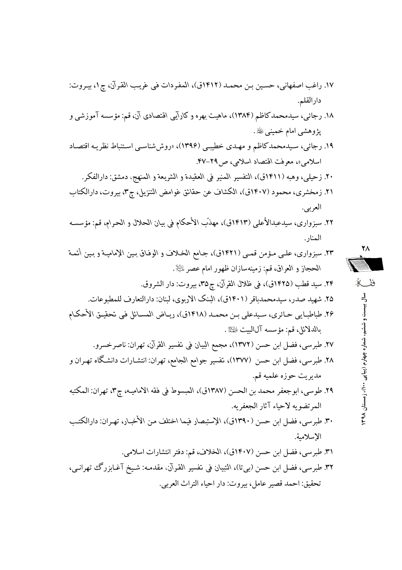: TG E ¶ E1 *القـرآن غریـب فـ المفـردات* J( E 1412) ,T18 +TG +TI@ E A3K v^ 17. . =72

- ۱۸. رجائ<sub>ی</sub>، سیدمحمدکاظم (۱۳۸۴)، ماهیت بهره و کارآیی اقتصادی آن، قم: مؤسسه آموزشی و پژوهشي امام خمينې ﷺ.
- ۱۹. رجائبي، سيدمحمدكاظم و مهـدي خطيبـي (۱۳۹۶)، «روششناسـي اسـتنباط نظريـه اقتصـاد اسلام<sub>ی»</sub>، معرفت اقتصاد اسلامی، ص14-۴۷.
	- ۲۰. زحیلی، وهبه (۱۴۱۱ق)، التفسیر المنیر فی العقیدة و الشریعة و المنهج، دمشق: دارالفکر.
- ۰۲۱ زمخشری، محمود (۱۴۰۷ق)، الکشاف عن حقائق غوامض التنزیل، چ**۳**، بیروت، دارالکتاب العربي.
- ۲۲. سبزواری، سیدعبدالأعل<sub>ی</sub> (۱۴۱۳ق)، مهذّب الأحکام فی بیان الحلال و الحرام، قم: مؤسسه المنار .
- 23. 9 یE T sT+> 1T ) 1421 E ( J *جـامC الخـلاف و الوفـاق بـین الإمامیـة و بـین أئمـة*  الحجاز و العراق، قم: زمينهسازان ظهور امام *عص*ر لل<sup>ي</sup>لاً.

.J 2 : G E35¶ E*القرآن ظلال ف* J( E 1425) v4> , 24. . 
412 ç .2 :& 
2 E*الاربوی البنک* J( E 1401) > G,18, E,K ,A< 25. *ـL ام الأح تحقیـق فـ المسـائل ریـاض* J( E 1418) ,T18 +TG ,T Eی ;T@ 6 T
{ 
{ 26. .:2eH -Is => E : *بالدلائل* . I(K :&A E*القرآن تفسیر ف البیان Cمجم* ) E 1372) +I@ +G F E
{ 27. &TA " #T T :&A *Cالجام Cجوام تفسیر* E ( E 1377 +I ) @ +G F E
{ 28. => -1 "?@ 66, . ]12 :&A E ¶ E3 *الامامیـه فقه ف المبسوط* J( E 1387) +I82 +G ,18 3./G E{ 29. . -63.\*2 dH è @f -612 vT]2 :&TA E*الأخبـار مـن اختلف فیما الإستبصار* J( E 1390 ) +I@ +G F E
{ 30. . 0® . => E : *الخلاف* J( E 1407) +I@ +G F E
{ 31. E TA |9G T^H jT< :-T,7 *،القـرآن تفسیر ف التبیان*( G ( E +I@ +G F E
{ 32. .G.2 ß2 è @ : G EF 5> ,1@ :g78

**7**  ففكه **-**ييست و ششم ، شماره چهار م (پیاپی ۲۰۰)، زمستان

**1398**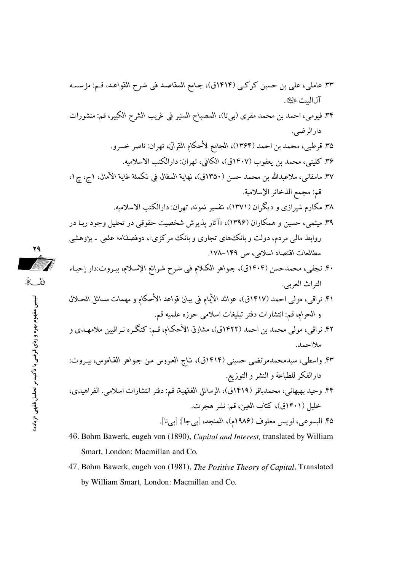- 46. Bohm Bawerk, eugeh von (1890), Capital and Interest, translated by William Smart, London: Macmillan and Co.
- 47. Bohm Bawerk, eugeh von (1981), The Positive Theory of Capital, Translated by William Smart, London: Macmillan and Co.

می می می تبیین مفهوم بهره و ربای قرضی با تأکید بر تحلیل فقهی «زیاده»<br>تاریخ<br>تاریخ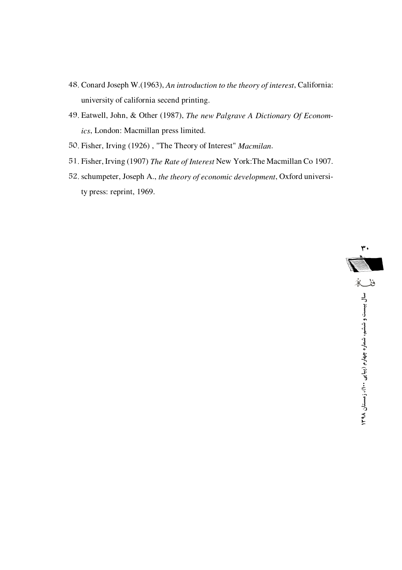- 48. Conard Joseph W.(1963), *An introduction to the theory of interest*, California: university of california secend printing.
- 49. Eatwell, John, & Other (1987), *The new Palgrave A Dictionary Of Economics*, London: Macmillan press limited.
- 50. Fisher, Irving (1926) , "The Theory of Interest" *Macmilan*.
- 51. Fisher, Irving (1907) *The Rate of Interest* New York:The Macmillan Co 1907.
- 52. schumpeter, Joseph A., *the theory of economic development*, Oxford university press: reprint, 1969.

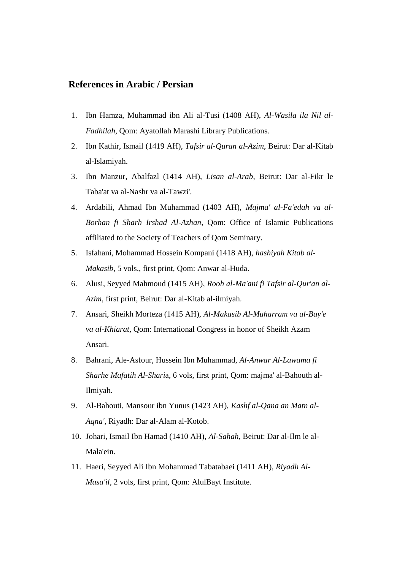### **References in Arabic / Persian**

- 1. Ibn Hamza, Muhammad ibn Ali al-Tusi (1408 AH), *Al-Wasila ila Nil al-Fadhilah*, Qom: Ayatollah Marashi Library Publications.
- 2. Ibn Kathir, Ismail (1419 AH), *Tafsir al-Quran al-Azim*, Beirut: Dar al-Kitab al-Islamiyah.
- 3. Ibn Manzur, Abalfazl (1414 AH), *Lisan al-Arab*, Beirut: Dar al-Fikr le Taba'at va al-Nashr va al-Tawzi'.
- 4. Ardabili, Ahmad Ibn Muhammad (1403 AH), *Majma' al-Fa'edah va al-Borhan fi Sharh Irshad Al-Azhan,* Qom: Office of Islamic Publications affiliated to the Society of Teachers of Qom Seminary.
- 5. Isfahani, Mohammad Hossein Kompani (1418 AH), *hashiyah Kitab al-Makasib*, 5 vols., first print, Qom: Anwar al-Huda.
- 6. Alusi, Seyyed Mahmoud (1415 AH), *Rooh al-Ma'ani fi Tafsir al-Qur'an al-Azim*, first print, Beirut: Dar al-Kitab al-ilmiyah.
- 7. Ansari, Sheikh Morteza (1415 AH), *Al-Makasib Al-Muharram va al-Bay'e va al-Khiarat*, Qom: International Congress in honor of Sheikh Azam Ansari.
- 8. Bahrani, Ale-Asfour, Hussein Ibn Muhammad, *Al-Anwar Al-Lawama fi Sharhe Mafatih Al-Shari*a, 6 vols, first print, Qom: majma' al-Bahouth al-Ilmiyah.
- 9. Al-Bahouti, Mansour ibn Yunus (1423 AH), *Kashf al-Qana an Matn al-Aqna'*, Riyadh: Dar al-Alam al-Kotob.
- 10. Johari, Ismail Ibn Hamad (1410 AH), *Al-Sahah*, Beirut: Dar al-Ilm le al-Mala'ein.
- 11. Haeri, Seyyed Ali Ibn Mohammad Tabatabaei (1411 AH), *Riyadh Al-Masa'il*, 2 vols, first print, Qom: AlulBayt Institute.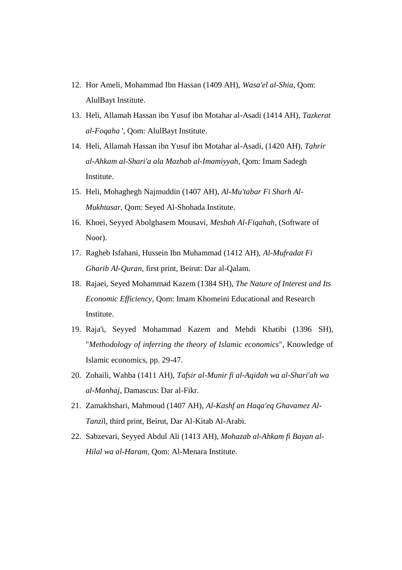- 12. Hor Ameli, Mohammad Ibn Hassan (1409 AH), *Wasa'el al-Shia*, Qom: AlulBayt Institute.
- 13. Heli, Allamah Hassan ibn Yusuf ibn Motahar al-Asadi (1414 AH), *Tazkerat al-Foqaha* ', Qom: AlulBayt Institute.
- 14. Heli, Allamah Hassan ibn Yusuf ibn Motahar al-Asadi, (1420 AH), *Tahrir al-Ahkam al-Shari'a ala Mazhab al-Imamiyyah*, Qom: Imam Sadegh Institute.
- 15. Heli, Mohaghegh Najmuddin (1407 AH), *Al-Mu'tabar Fi Sharh Al-Mukhtasar*, Qom: Seyed Al-Shohada Institute.
- 16. Khoei, Seyyed Abolghasem Mousavi, *Mesbah Al-Fiqahah*, (Software of Noor).
- 17. Ragheb Isfahani, Hussein Ibn Muhammad (1412 AH), *Al-Mufradat Fi Gharib Al-Quran*, first print, Beirut: Dar al-Qalam.
- 18. Rajaei, Seyed Mohammad Kazem (1384 SH), *The Nature of Interest and Its Economic Efficiency*, Qom: Imam Khomeini Educational and Research Institute.
- 19. Raja'i, Seyyed Mohammad Kazem and Mehdi Khatibi (1396 SH), "*Methodology of inferring the theory of Islamic economics*", Knowledge of Islamic economics, pp. 29-47.
- 20. Zohaili, Wahba (1411 AH), *Tafsir al-Munir fi al-Aqidah wa al-Shari'ah wa al-Manhaj*, Damascus: Dar al-Fikr.
- 21. Zamakhshari, Mahmoud (1407 AH), *Al-Kashf an Haqa'eq Ghavamez Al-Tanzi*l, third print, Beirut, Dar Al-Kitab Al-Arabi.
- 22. Sabzevari, Seyyed Abdul Ali (1413 AH), *Mohazab al-Ahkam fi Bayan al-Hilal wa al-Haram*, Qom: Al-Menara Institute.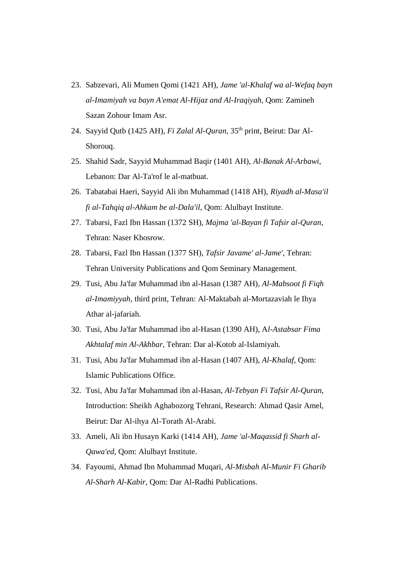- 23. Sabzevari, Ali Mumen Qomi (1421 AH), *Jame 'al-Khalaf wa al-Wefaq bayn al-Imamiyah va bayn A'emat Al-Hijaz and Al-Iraqiyah*, Qom: Zamineh Sazan Zohour Imam Asr.
- 24. Sayyid Qutb (1425 AH), *Fi Zalal Al-Quran*, 35th print, Beirut: Dar Al-Shorouq.
- 25. Shahid Sadr, Sayyid Muhammad Baqir (1401 AH), *Al-Banak Al-Arbawi*, Lebanon: Dar Al-Ta'rof le al-matbuat.
- 26. Tabatabai Haeri, Sayyid Ali ibn Muhammad (1418 AH), *Riyadh al-Masa'il fi al-Tahqiq al-Ahkam be al-Dala'il*, Qom: Alulbayt Institute.
- 27. Tabarsi, Fazl Ibn Hassan (1372 SH), *Majma 'al-Bayan fi Tafsir al-Quran*, Tehran: Naser Khosrow.
- 28. Tabarsi, Fazl Ibn Hassan (1377 SH), *Tafsir Javame' al-Jame'*, Tehran: Tehran University Publications and Qom Seminary Management.
- 29. Tusi, Abu Ja'far Muhammad ibn al-Hasan (1387 AH), *Al-Mabsoot fi Fiqh al-Imamiyyah*, third print, Tehran: Al-Maktabah al-Mortazaviah le Ihya Athar al-jafariah.
- 30. Tusi, Abu Ja'far Muhammad ibn al-Hasan (1390 AH), A*l-Astabsar Fima Akhtalaf min Al-Akhbar*, Tehran: Dar al-Kotob al-Islamiyah.
- 31. Tusi, Abu Ja'far Muhammad ibn al-Hasan (1407 AH), *Al-Khalaf*, Qom: Islamic Publications Office.
- 32. Tusi, Abu Ja'far Muhammad ibn al-Hasan, *Al-Tebyan Fi Tafsir Al-Quran*, Introduction: Sheikh Aghabozorg Tehrani, Research: Ahmad Qasir Amel, Beirut: Dar Al-ihya Al-Torath Al-Arabi.
- 33. Ameli, Ali ibn Husayn Karki (1414 AH), *Jame 'al-Maqassid fi Sharh al-Qawa'ed*, Qom: Alulbayt Institute.
- 34. Fayoumi, Ahmad Ibn Muhammad Muqari, *Al-Misbah Al-Munir Fi Gharib Al-Sharh Al-Kabir,* Qom: Dar Al-Radhi Publications.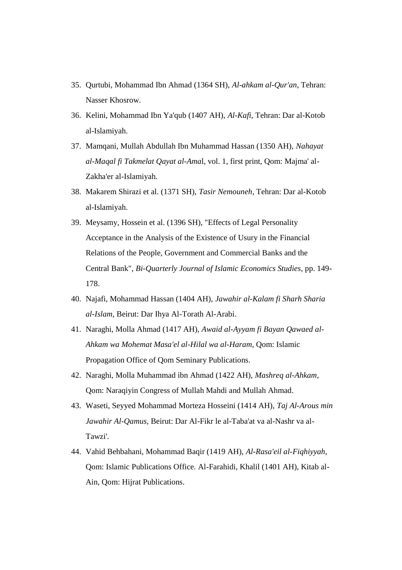- 35. Qurtubi, Mohammad Ibn Ahmad (1364 SH), *Al-ahkam al-Qur'an*, Tehran: Nasser Khosrow.
- 36. Kelini, Mohammad Ibn Ya'qub (1407 AH), *Al-Kafi*, Tehran: Dar al-Kotob al-Islamiyah.
- 37. Mamqani, Mullah Abdullah Ibn Muhammad Hassan (1350 AH), *Nahayat al-Maqal fi Takmelat Qayat al-Ama*l, vol. 1, first print, Qom: Majma' al-Zakha'er al-Islamiyah.
- 38. Makarem Shirazi et al. (1371 SH), *Tasir Nemouneh*, Tehran: Dar al-Kotob al-Islamiyah.
- 39. Meysamy, Hossein et al. (1396 SH), "Effects of Legal Personality Acceptance in the Analysis of the Existence of Usury in the Financial Relations of the People, Government and Commercial Banks and the Central Bank", *Bi-Quarterly Journal of Islamic Economics Studies*, pp. 149- 178.
- 40. Najafi, Mohammad Hassan (1404 AH), *Jawahir al-Kalam fi Sharh Sharia al-Islam*, Beirut: Dar Ihya Al-Torath Al-Arabi.
- 41. Naraghi, Molla Ahmad (1417 AH), *Awaid al-Ayyam fi Bayan Qawaed al-Ahkam wa Mohemat Masa'el al-Hilal wa al-Haram*, Qom: Islamic Propagation Office of Qom Seminary Publications.
- 42. Naraghi, Molla Muhammad ibn Ahmad (1422 AH), *Mashreq al-Ahkam*, Qom: Naraqiyin Congress of Mullah Mahdi and Mullah Ahmad.
- 43. Waseti, Seyyed Mohammad Morteza Hosseini (1414 AH), *Taj Al-Arous min Jawahir Al-Qamus*, Beirut: Dar Al-Fikr le al-Taba'at va al-Nashr va al-Tawzi'.
- 44. Vahid Behbahani, Mohammad Baqir (1419 AH), *Al-Rasa'eil al-Fiqhiyyah*, Qom: Islamic Publications Office. Al-Farahidi, Khalil (1401 AH), Kitab al-Ain, Qom: Hijrat Publications.